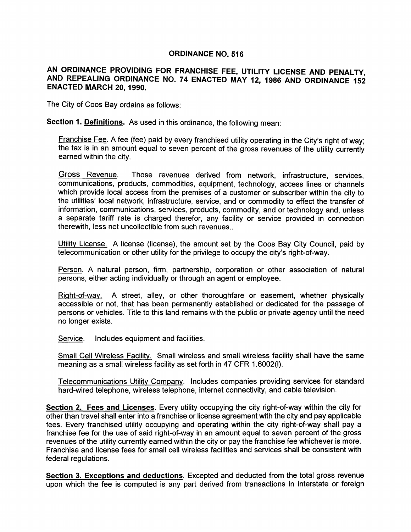## ORDINANCE NO. 516

## AN ORDINANCE PROVIDING FOR FRANCHISE FEE, UTILITY LICENSE AND PENALTY, AND REPEALING ORDINANCE NO. 74 ENACTED MAY 12, 1986 AND ORDINANCE 152 ENACTED MARCH 20, 1990.

The City of Coos Bay ordains as follows:

Section 1. Definitions. As used in this ordinance, the following mean:

Franchise Fee. A fee (fee) paid by every franchised utility operating in the City's right of way; the tax is in an amount equal to seven percent of the gross revenues of the utility currently earned within the city.

Gross Revenue. Those revenues derived from network, infrastructure, services, communications, products, commodities, equipment, technology, access lines or channels which provide local access from the premises of a customer or subscriber within the city to the utilities' local network, infrastructure, service, and or commodity to effect the transfer of information, communications, services, products, commodity, and or technology and, unless a separate tariff rate is charged therefor, any facility or service provided in connection therewith, less net uncollectible from such revenues..

Utility License. A license (license), the amount set by the Coos Bay City Council, paid by telecommunication or other utility for the privilege to occupy the city's right-of-way.

Person. A natural person, firm, partnership, corporation or other association of natural persons, either acting individually or through an agent or employee.

Right-of-way. A street, alley, or other thoroughfare or easement, whether physically accessible or not, that has been permanently established or dedicated for the passage of persons or vehicles. Title to this land remains with the public or private agency until the need no longer exists.

Service. Includes equipment and facilities.

Small Cell Wireless Facility. Small wireless and small wireless facility shall have the same meaning as a small wireless facility as set forth in 47 CFR 1.6002(1).

Telecommunications Utility Company. Includes companies providing services for standard hard-wired telephone, wireless telephone, internet connectivity, and cable television.

Section 2. Fees and Licenses. Every utility occupying the city right-of-way within the city for other than travel shall enter into a franchise or license agreement with the city and pay applicable fees. Every franchised utility occupying and operating within the city right-of-way shall pay a franchise fee for the use of said right-of-way in an amount equal to seven percent of the gross revenues of the utility currently earned within the city or pay the franchise fee whichever is more. Franchise and license fees for small cell wireless facilities and services shall be consistent with federal regulations.

Section 3. Exceptions and deductions. Excepted and deducted from the total gross revenue upon which the fee is computed is any part derived from transactions in interstate or foreign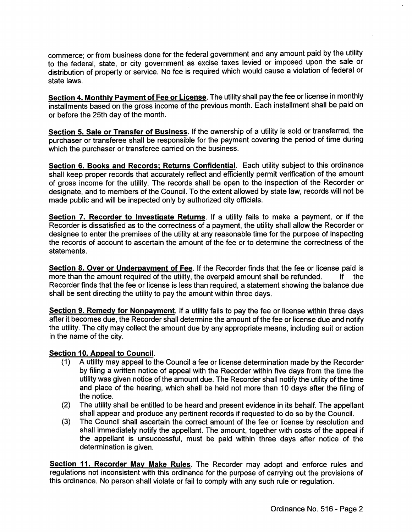commerce; or from business done for the federal government and any amount paid by the utility to the federal, state, or city government as excise taxes levied or imposed upon the sale or distribution of property or service. No fee is required which would cause a violation of federal or state laws.

Section 4. Monthly Payment of Fee or License. The utility shall pay the fee or license in monthly installments based on the gross income of the previous month. Each installment shall be paid on or before the 25th day of the month.

Section 5. Sale or Transfer of Business. If the ownership of a utility is sold or transferred, the purchaser or transferee shall be responsible for the payment covering the period of time during which the purchaser or transferee carried on the business.

Section 6. Books and Records; Returns Confidential. Each utility subject to this ordinance shall keep proper records that accurately reflect and efficiently permit verification of the amount of gross income for the utility. The records shall be open to the inspection of the Recorder or designate, and to members of the Council. To the extent allowed by state law, records will not be made public and will be inspected only by authorized city officials.

Section 7. Recorder to Investigate Returns. If a utility fails to make a payment, or if the Recorder is dissatisfied as to the correctness of a payment, the utility shall allow the Recorder or designee to enter the premises of the utility at any reasonable time for the purpose of inspecting the records of account to ascertain the amount of the fee or to determine the correctness of the statements.

Section 8. Over or Underpayment of Fee. If the Recorder finds that the fee or license paid is more than the amount required of the utility, the overpaid amount shall be refunded. If the more than the amount required of the utility, the overpaid amount shall be refunded. Recorder finds that the fee or license is less than required, a statement showing the balance due shall be sent directing the utility to pay the amount within three days.

Section 9. Remedy for Nonpayment. If a utility fails to pay the fee or license within three days after it becomes due, the Recorder shall determine the amount of the fee or license due and notify the utility. The city may collect the amount due by any appropriate means, including suit or action in the name of the city.

## Section 10. Appeal to Council.

- (1) A utility may appeal to the Council a fee or license determination made by the Recorder by filing a written notice of appeal with the Recorder within five days from the time the utility was given notice of the amount due. The Recorder shall notify the utility of the time and place of the hearing, which shall be held not more than 10 days after the filing of the notice.
- (2) The utility shall be entitled to be heard and present evidence in its behalf. The appellant shall appear and produce any pertinent records if requested to do so by the Council.
- (3) The Council shall ascertain the correct amount of the fee or license by resolution and shall immediately notify the appellant. The amount, together with costs of the appeal if the appellant is unsuccessful, must be paid within three days after notice of the determination is given.

Section 11. Recorder May Make Rules. The Recorder may adopt and enforce rules and regulations not inconsistent with this ordinance for the purpose of carrying out the provisions of this ordinance. No person shall violate or fail to comply with any such rule or regulation.